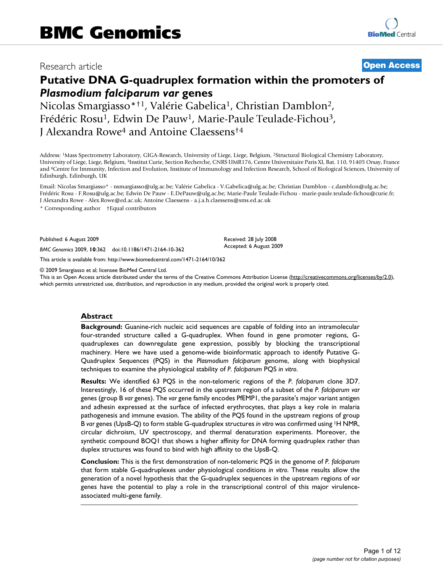# Research article **[Open Access](http://www.biomedcentral.com/info/about/charter/)**

# **Putative DNA G-quadruplex formation within the promoters of**  *Plasmodium falciparum var* **genes**

Nicolas Smargiasso\*†1, Valérie Gabelica1, Christian Damblon2, Frédéric Rosu1, Edwin De Pauw1, Marie-Paule Teulade-Fichou3, J Alexandra Rowe4 and Antoine Claessens†4

Address: 1Mass Spectrometry Laboratory, GIGA-Research, University of Liege, Liege, Belgium, 2Structural Biological Chemistry Laboratory, University of Liege, Liege, Belgium, 3Institut Curie, Section Recherche, CNRS UMR176, Centre Universitaire Paris XI, Bat. 110, 91405 Orsay, France and 4Centre for Immunity, Infection and Evolution, Institute of Immunology and Infection Research, School of Biological Sciences, University of Edinburgh, Edinburgh, UK

Email: Nicolas Smargiasso\* - nsmargiasso@ulg.ac.be; Valérie Gabelica - V.Gabelica@ulg.ac.be; Christian Damblon - c.damblon@ulg.ac.be; Frédéric Rosu - F.Rosu@ulg.ac.be; Edwin De Pauw - E.DePauw@ulg.ac.be; Marie-Paule Teulade-Fichou - marie-paule.teulade-fichou@curie.fr; J Alexandra Rowe - Alex.Rowe@ed.ac.uk; Antoine Claessens - a.j.a.h.claessens@sms.ed.ac.uk

\* Corresponding author †Equal contributors

Published: 6 August 2009

*BMC Genomics* 2009, **10**:362 doi:10.1186/1471-2164-10-362

[This article is available from: http://www.biomedcentral.com/1471-2164/10/362](http://www.biomedcentral.com/1471-2164/10/362)

© 2009 Smargiasso et al; licensee BioMed Central Ltd.

This is an Open Access article distributed under the terms of the Creative Commons Attribution License [\(http://creativecommons.org/licenses/by/2.0\)](http://creativecommons.org/licenses/by/2.0), which permits unrestricted use, distribution, and reproduction in any medium, provided the original work is properly cited.

Received: 28 July 2008 Accepted: 6 August 2009

#### **Abstract**

**Background:** Guanine-rich nucleic acid sequences are capable of folding into an intramolecular four-stranded structure called a G-quadruplex. When found in gene promoter regions, Gquadruplexes can downregulate gene expression, possibly by blocking the transcriptional machinery. Here we have used a genome-wide bioinformatic approach to identify Putative G-Quadruplex Sequences (PQS) in the *Plasmodium falciparum* genome, along with biophysical techniques to examine the physiological stability of *P. falciparum* PQS *in vitro*.

**Results:** We identified 63 PQS in the non-telomeric regions of the *P. falciparum* clone 3D7. Interestingly, 16 of these PQS occurred in the upstream region of a subset of the *P. falciparum var* genes (group B *var* genes). The *var* gene family encodes PfEMP1, the parasite's major variant antigen and adhesin expressed at the surface of infected erythrocytes, that plays a key role in malaria pathogenesis and immune evasion. The ability of the PQS found in the upstream regions of group B *var* genes (UpsB-Q) to form stable G-quadruplex structures *in vitro* was confirmed using 1H NMR, circular dichroism, UV spectroscopy, and thermal denaturation experiments. Moreover, the synthetic compound BOQ1 that shows a higher affinity for DNA forming quadruplex rather than duplex structures was found to bind with high affinity to the UpsB-Q.

**Conclusion:** This is the first demonstration of non-telomeric PQS in the genome of *P. falciparum* that form stable G-quadruplexes under physiological conditions *in vitro*. These results allow the generation of a novel hypothesis that the G-quadruplex sequences in the upstream regions of *var* genes have the potential to play a role in the transcriptional control of this major virulenceassociated multi-gene family.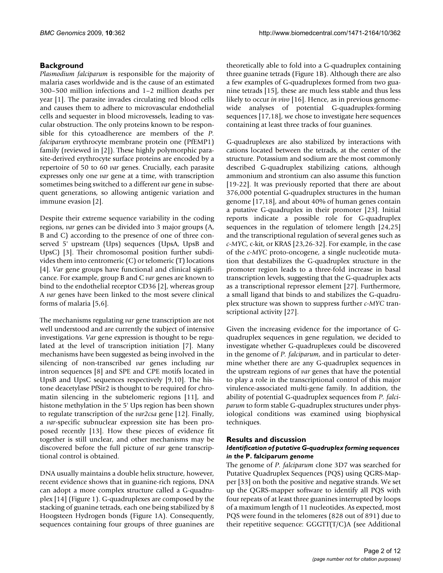# **Background**

*Plasmodium falciparum* is responsible for the majority of malaria cases worldwide and is the cause of an estimated 300–500 million infections and 1–2 million deaths per year [1]. The parasite invades circulating red blood cells and causes them to adhere to microvascular endothelial cells and sequester in blood microvessels, leading to vascular obstruction. The only proteins known to be responsible for this cytoadherence are members of the *P. falciparum* erythrocyte membrane protein one (PfEMP1) family (reviewed in [2]). These highly polymorphic parasite-derived erythrocyte surface proteins are encoded by a repertoire of 50 to 60 *var* genes. Crucially, each parasite expresses only one *var* gene at a time, with transcription sometimes being switched to a different *var* gene in subsequent generations, so allowing antigenic variation and immune evasion [2].

Despite their extreme sequence variability in the coding regions, *var* genes can be divided into 3 major groups (A, B and C) according to the presence of one of three conserved 5' upstream (Ups) sequences (UpsA, UpsB and UpsC) [3]. Their chromosomal position further subdivides them into centromeric (C) or telomeric (T) locations [4]. *Var* gene groups have functional and clinical significance. For example, group B and C *var* genes are known to bind to the endothelial receptor CD36 [2], whereas group A *var* genes have been linked to the most severe clinical forms of malaria [5,6].

The mechanisms regulating *var* gene transcription are not well understood and are currently the subject of intensive investigations. *Var* gene expression is thought to be regulated at the level of transcription initiation [7]. Many mechanisms have been suggested as being involved in the silencing of non-transcribed *var* genes including *var* intron sequences [8] and SPE and CPE motifs located in UpsB and UpsC sequences respectively [9,10]. The histone deacetylase PfSir2 is thought to be required for chromatin silencing in the subtelomeric regions [11], and histone methylation in the 5' Ups region has been shown to regulate transcription of the *var2csa* gene [12]. Finally, a *var*-specific subnuclear expression site has been proposed recently [13]. How these pieces of evidence fit together is still unclear, and other mechanisms may be discovered before the full picture of *var* gene transcriptional control is obtained.

DNA usually maintains a double helix structure, however, recent evidence shows that in guanine-rich regions, DNA can adopt a more complex structure called a G-quadruplex [14] (Figure 1). G-quadruplexes are composed by the stacking of guanine tetrads, each one being stabilized by 8 Hoogsteen Hydrogen bonds (Figure 1A). Consequently, sequences containing four groups of three guanines are theoretically able to fold into a G-quadruplex containing three guanine tetrads (Figure 1B). Although there are also a few examples of G-quadruplexes formed from two guanine tetrads [15], these are much less stable and thus less likely to occur *in vivo* [16]. Hence, as in previous genomewide analyses of potential G-quadruplex-forming sequences [17,18], we chose to investigate here sequences containing at least three tracks of four guanines.

G-quadruplexes are also stabilized by interactions with cations located between the tetrads, at the center of the structure. Potassium and sodium are the most commonly described G-quadruplex stabilizing cations, although ammonium and strontium can also assume this function [19-22]. It was previously reported that there are about 376,000 potential G-quadruplex structures in the human genome [17,18], and about 40% of human genes contain a putative G-quadruplex in their promoter [23]. Initial reports indicate a possible role for G-quadruplex sequences in the regulation of telomere length [24,25] and the transcriptional regulation of several genes such as *c-MYC*, c-kit, or KRAS [23,26-32]. For example, in the case of the *c-MYC* proto-oncogene, a single nucleotide mutation that destabilizes the G-quadruplex structure in the promoter region leads to a three-fold increase in basal transcription levels, suggesting that the G-quadruplex acts as a transcriptional repressor element [27]. Furthermore, a small ligand that binds to and stabilizes the G-quadruplex structure was shown to suppress further *c-MYC* transcriptional activity [27].

Given the increasing evidence for the importance of Gquadruplex sequences in gene regulation, we decided to investigate whether G-quadruplexes could be discovered in the genome of *P. falciparum*, and in particular to determine whether there are any G-quadruplex sequences in the upstream regions of *var* genes that have the potential to play a role in the transcriptional control of this major virulence-associated multi-gene family. In addition, the ability of potential G-quadruplex sequences from *P. falciparum* to form stable G-quadruplex structures under physiological conditions was examined using biophysical techniques.

#### **Results and discussion**

#### *Identification of putative G-quadruplex forming sequences in the* **P. falciparum** *genome*

The genome of *P. falciparum* clone 3D7 was searched for Putative Quadruplex Sequences (PQS) using QGRS-Mapper [33] on both the positive and negative strands. We set up the QGRS-mapper software to identify all PQS with four repeats of at least three guanines interrupted by loops of a maximum length of 11 nucleotides. As expected, most PQS were found in the telomeres (828 out of 891) due to their repetitive sequence: GGGTT(T/C)A (see Additional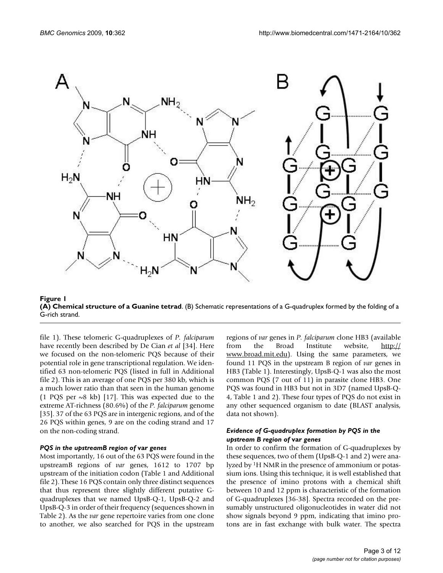

**Figure 1 (A) Chemical structure of a Guanine tetrad**. (B) Schematic representations of a G-quadruplex formed by the folding of a G-rich strand.

file 1). These telomeric G-quadruplexes of *P. falciparum* have recently been described by De Cian *et al* [34]. Here we focused on the non-telomeric PQS because of their potential role in gene transcriptional regulation. We identified 63 non-telomeric PQS (listed in full in Additional file 2). This is an average of one PQS per 380 kb, which is a much lower ratio than that seen in the human genome (1 PQS per  $\sim$ 8 kb) [17]. This was expected due to the extreme AT-richness (80.6%) of the *P. falciparum* genome [35]. 37 of the 63 PQS are in intergenic regions, and of the 26 PQS within genes, 9 are on the coding strand and 17 on the non-coding strand.

#### *PQS in the upstreamB region of* **var** *genes*

Most importantly, 16 out of the 63 PQS were found in the upstreamB regions of *var* genes, 1612 to 1707 bp upstream of the initiation codon (Table 1 and Additional file 2). These 16 PQS contain only three distinct sequences that thus represent three slightly different putative Gquadruplexes that we named UpsB-Q-1, UpsB-Q-2 and UpsB-Q-3 in order of their frequency (sequences shown in Table 2). As the *var* gene repertoire varies from one clone to another, we also searched for PQS in the upstream

regions of *var* genes in *P. falciparum* clone HB3 (available from the Broad Institute website, [http://](http://www.broad.mit.edu) [www.broad.mit.edu](http://www.broad.mit.edu)). Using the same parameters, we found 11 PQS in the upstream B region of *var* genes in HB3 (Table 1). Interestingly, UpsB-Q-1 was also the most common PQS (7 out of 11) in parasite clone HB3. One PQS was found in HB3 but not in 3D7 (named UpsB-Q-4, Table 1 and 2). These four types of PQS do not exist in any other sequenced organism to date (BLAST analysis, data not shown).

#### *Evidence of G-quadruplex formation by PQS in the upstream B region of* **var** *genes*

In order to confirm the formation of G-quadruplexes by these sequences, two of them (UpsB-Q-1 and 2) were analyzed by 1H NMR in the presence of ammonium or potassium ions. Using this technique, it is well established that the presence of imino protons with a chemical shift between 10 and 12 ppm is characteristic of the formation of G-quadruplexes [36-38]. Spectra recorded on the presumably unstructured oligonucleotides in water did not show signals beyond 9 ppm, indicating that imino protons are in fast exchange with bulk water. The spectra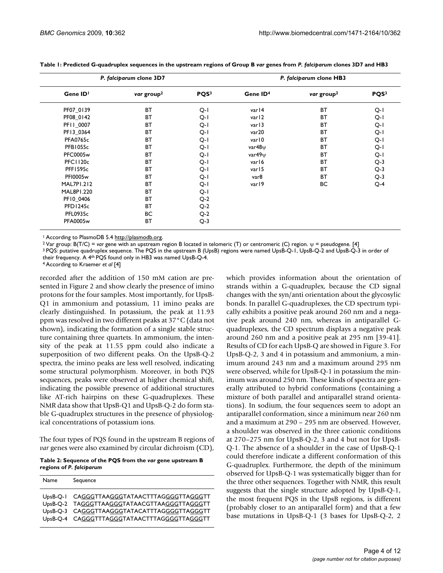| P. falciparum clone 3D7 |                        |       | P. falciparum clone HB3 |                        |       |
|-------------------------|------------------------|-------|-------------------------|------------------------|-------|
| Gene ID <sup>1</sup>    | var group <sup>2</sup> | PQS3  | Gene $ID4$              | var group <sup>2</sup> | PQS3  |
| PF07_0139               | <b>BT</b>              | $Q-I$ | var 14                  | BT                     | $Q-1$ |
| PF08 0142               | <b>BT</b>              | $Q-1$ | var12                   | <b>BT</b>              | $Q-I$ |
| PF11_0007               | <b>BT</b>              | $Q-1$ | var 13                  | <b>BT</b>              | $Q-1$ |
| PF13 0364               | <b>BT</b>              | $Q-1$ | var <sub>20</sub>       | <b>BT</b>              | $Q-I$ |
| <b>PFA0765c</b>         | <b>BT</b>              | $Q-1$ | var10                   | <b>BT</b>              | $Q-I$ |
| <b>PFB1055c</b>         | ВT                     | $Q-1$ | var $48\psi$            | ВT                     | $Q-I$ |
| <b>PFC0005w</b>         | <b>BT</b>              | $Q-1$ | var $49\psi$            | ВT                     | $Q-I$ |
| PFC1120c                | ВT                     | $Q-1$ | var16                   | ВT                     | $Q-3$ |
| <b>PFF1595c</b>         | <b>BT</b>              | $Q-1$ | var15                   | <b>BT</b>              | $Q-3$ |
| <b>PFI0005w</b>         | <b>BT</b>              | $Q-1$ | var8                    | <b>BT</b>              | $Q-3$ |
| <b>MAL7P1.212</b>       | <b>BT</b>              | $Q-1$ | var19                   | BС                     | $Q-4$ |
| MAL8P1.220              | <b>BT</b>              | $Q-1$ |                         |                        |       |
| PF10 0406               | <b>BT</b>              | $Q-2$ |                         |                        |       |
| <b>PFD1245c</b>         | <b>BT</b>              | $Q-2$ |                         |                        |       |
| <b>PFL0935c</b>         | BC                     | $Q-2$ |                         |                        |       |
| <b>PFA0005w</b>         | <b>BT</b>              | $Q-3$ |                         |                        |       |

Table 1: Predicted G-quadruplex sequences in the upstream regions of Group B var genes from P. falciparum clones 3D7 and HB3

<sup>1</sup> According to PlasmoDB 5.4 [http://plasmodb.org.](http://plasmodb.org)

2 Var group: B(T/C) = *var* gene with an upstream region B located in telomeric (T) or centromeric (C) region. ψ = pseudogene. [4]

3 PQS: putative quadruplex sequence. The PQS in the upstream B (UpsB) regions were named UpsB-Q-1, UpsB-Q-2 and UpsB-Q-3 in order of their frequency. A 4th PQS found only in HB3 was named UpsB-Q-4.

4 According to Kraemer *et al* [4]

recorded after the addition of 150 mM cation are presented in Figure 2 and show clearly the presence of imino protons for the four samples. Most importantly, for UpsB-Q1 in ammonium and potassium, 11 imino peaks are clearly distinguished. In potassium, the peak at 11.93 ppm was resolved in two different peaks at 37°C (data not shown), indicating the formation of a single stable structure containing three quartets. In ammonium, the intensity of the peak at 11.55 ppm could also indicate a superposition of two different peaks. On the UpsB-Q-2 spectra, the imino peaks are less well resolved, indicating some structural polymorphism. Moreover, in both PQS sequences, peaks were observed at higher chemical shift, indicating the possible presence of additional structures like AT-rich hairpins on these G-quadruplexes. These NMR data show that UpsB-Q1 and UpsB-Q-2 do form stable G-quadruplex structures in the presence of physiological concentrations of potassium ions.

The four types of PQS found in the upstream B regions of *var* genes were also examined by circular dichroism (CD),

**Table 2: Sequence of the PQS from the** *var* **gene upstream B regions of** *P. falciparum*

| UpsB-Q-I CAGGGTTAAGGGTATAACTTTAGGGGTTAGGGTT<br>UpsB-Q-2 TAGGGTTAAGGGTATAACGTTAAGGGTTAGGGTT<br>UpsB-Q-3 CAGGGTTAAGGGTATACATTTAGGGGTTAGGGTT<br>UpsB-Q-4 CAGGGTTTAGGGTATAACTTTAGGGGTTAGGGTT | Name | Sequence |
|------------------------------------------------------------------------------------------------------------------------------------------------------------------------------------------|------|----------|
|                                                                                                                                                                                          |      |          |

which provides information about the orientation of strands within a G-quadruplex, because the CD signal changes with the syn/anti orientation about the glycosylic bonds. In parallel G-quadruplexes, the CD spectrum typically exhibits a positive peak around 260 nm and a negative peak around 240 nm, whereas in antiparallel Gquadruplexes, the CD spectrum displays a negative peak around 260 nm and a positive peak at 295 nm [39-41]. Results of CD for each UpsB-Q are showed in Figure 3. For UpsB-Q-2, 3 and 4 in potassium and ammonium, a minimum around 243 nm and a maximum around 295 nm were observed, while for UpsB-Q-1 in potassium the minimum was around 250 nm. These kinds of spectra are generally attributed to hybrid conformations (containing a mixture of both parallel and antiparallel strand orientations). In sodium, the four sequences seem to adopt an antiparallel conformation, since a minimum near 260 nm and a maximum at 290 – 295 nm are observed. However, a shoulder was observed in the three cationic conditions at 270–275 nm for UpsB-Q-2, 3 and 4 but not for UpsB-Q-1. The absence of a shoulder in the case of UpsB-Q-1 could therefore indicate a different conformation of this G-quadruplex. Furthermore, the depth of the minimum observed for UpsB-Q-1 was systematically bigger than for the three other sequences. Together with NMR, this result suggests that the single structure adopted by UpsB-Q-1, the most frequent PQS in the UpsB regions, is different (probably closer to an antiparallel form) and that a few base mutations in UpsB-Q-1 (3 bases for UpsB-Q-2, 2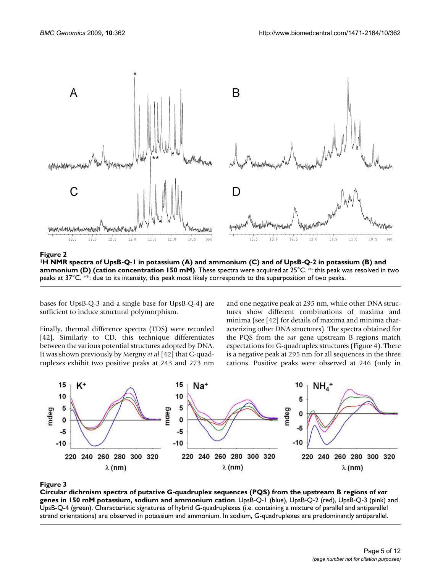

**1H NMR spectra of UpsB-Q-1 in potassium (A) and ammonium (C) and of UpsB-Q-2 in potassium (B) and ammonium (D) (cation concentration 150 mM)**. These spectra were acquired at 25°C. \*: this peak was resolved in two peaks at 37°C. \*\*: due to its intensity, this peak most likely corresponds to the superposition of two peaks.

bases for UpsB-Q-3 and a single base for UpsB-Q-4) are sufficient to induce structural polymorphism.

Finally, thermal difference spectra (TDS) were recorded [42]. Similarly to CD, this technique differentiates between the various potential structures adopted by DNA. It was shown previously by Mergny *et al* [42] that G-quadruplexes exhibit two positive peaks at 243 and 273 nm

and one negative peak at 295 nm, while other DNA structures show different combinations of maxima and minima (see [42] for details of maxima and minima characterizing other DNA structures). The spectra obtained for the PQS from the *var* gene upstream B regions match expectations for G-quadruplex structures (Figure 4). There is a negative peak at 295 nm for all sequences in the three cations. Positive peaks were observed at 246 (only in



#### Circular dichroism spectra of pu potassium, sodium and ammonium cation **Figure 3** tative G-quadruplex sequences (PQS) from the upstream B regions of *var* genes in 150 mM

**Circular dichroism spectra of putative G-quadruplex sequences (PQS) from the upstream B regions of** *var*  **genes in 150 mM potassium, sodium and ammonium cation**. UpsB-Q-1 (blue), UpsB-Q-2 (red), UpsB-Q-3 (pink) and UpsB-Q-4 (green). Characteristic signatures of hybrid G-quadruplexes (i.e. containing a mixture of parallel and antiparallel strand orientations) are observed in potassium and ammonium. In sodium, G-quadruplexes are predominantly antiparallel.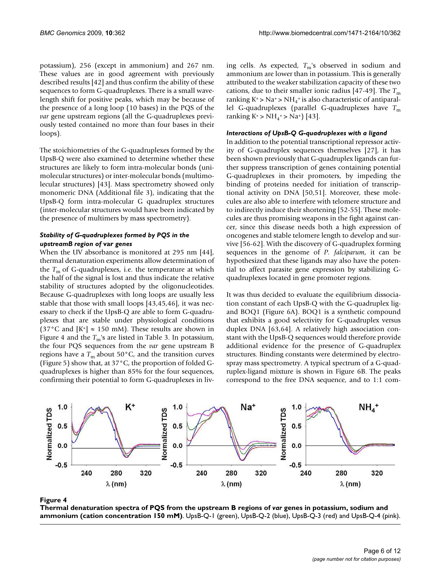potassium), 256 (except in ammonium) and 267 nm. These values are in good agreement with previously described results [42] and thus confirm the ability of these sequences to form G-quadruplexes. There is a small wavelength shift for positive peaks, which may be because of the presence of a long loop (10 bases) in the PQS of the *var* gene upstream regions (all the G-quadruplexes previously tested contained no more than four bases in their loops).

The stoichiometries of the G-quadruplexes formed by the UpsB-Q were also examined to determine whether these structures are likely to form intra-molecular bonds (unimolecular structures) or inter-molecular bonds (multimolecular structures) [43]. Mass spectrometry showed only monomeric DNA (Additional file 3), indicating that the UpsB-Q form intra-molecular G quadruplex structures (inter-molecular structures would have been indicated by the presence of multimers by mass spectrometry).

#### *Stability of G-quadruplexes formed by PQS in the upstreamB region of* **var** *genes*

When the UV absorbance is monitored at 295 nm [44], thermal denaturation experiments allow determination of the  $T_m$  of G-quadruplexes, i.e. the temperature at which the half of the signal is lost and thus indicate the relative stability of structures adopted by the oligonucleotides. Because G-quadruplexes with long loops are usually less stable that those with small loops [43,45,46], it was necessary to check if the UpsB-Q are able to form G-quadruplexes that are stable under physiological conditions (37°C and  $[K^+] \approx 150$  mM). These results are shown in Figure 4 and the  $T_m$ 's are listed in Table 3. In potassium, the four PQS sequences from the *var* gene upstream B regions have a  $T_m$  about 50 $\degree$ C, and the transition curves (Figure 5) show that, at 37°C, the proportion of folded Gquadruplexes is higher than 85% for the four sequences, confirming their potential to form G-quadruplexes in living cells. As expected,  $T_m$ 's observed in sodium and ammonium are lower than in potassium. This is generally attributed to the weaker stabilization capacity of these two cations, due to their smaller ionic radius [47-49]. The  $T<sub>m</sub>$ ranking  $K^+$  > Na $^+$  > NH<sub>4</sub><sup>+</sup> is also characteristic of antiparallel G-quadruplexes (parallel G-quadruplexes have *T*<sup>m</sup> ranking  $K^+$  >  $NH_4^+$  >  $Na^+$ ) [43].

#### *Interactions of UpsB-Q G-quadruplexes with a ligand*

In addition to the potential transcriptional repressor activity of G-quadruplex sequences themselves [27], it has been shown previously that G-quadruplex ligands can further suppress transcription of genes containing potential G-quadruplexes in their promoters, by impeding the binding of proteins needed for initiation of transcriptional activity on DNA [50,51]. Moreover, these molecules are also able to interfere with telomere structure and to indirectly induce their shortening [52-55]. These molecules are thus promising weapons in the fight against cancer, since this disease needs both a high expression of oncogenes and stable telomere length to develop and survive [56-62]. With the discovery of G-quadruplex forming sequences in the genome of *P. falciparum*, it can be hypothesized that these ligands may also have the potential to affect parasite gene expression by stabilizing Gquadruplexes located in gene promoter regions.

It was thus decided to evaluate the equilibrium dissociation constant of each UpsB-Q with the G-quadruplex ligand BOQ1 (Figure 6A). BOQ1 is a synthetic compound that exhibits a good selectivity for G-quadruplex versus duplex DNA [63,64]. A relatively high association constant with the UpsB-Q sequences would therefore provide additional evidence for the presence of G-quadruplex structures. Binding constants were determined by electrospray mass spectrometry. A typical spectrum of a G-quadruplex-ligand mixture is shown in Figure 6B. The peaks correspond to the free DNA sequence, and to 1:1 com-





Thermal denaturation spectra of PQ concentration 150 mM) **Figure 4** S from the upstream B regions of *var* genes in potassium, sodium and ammonium (cation **Thermal denaturation spectra of PQS from the upstream B regions of** *var* **genes in potassium, sodium and ammonium (cation concentration 150 mM)**. UpsB-Q-1 (green), UpsB-Q-2 (blue), UpsB-Q-3 (red) and UpsB-Q-4 (pink).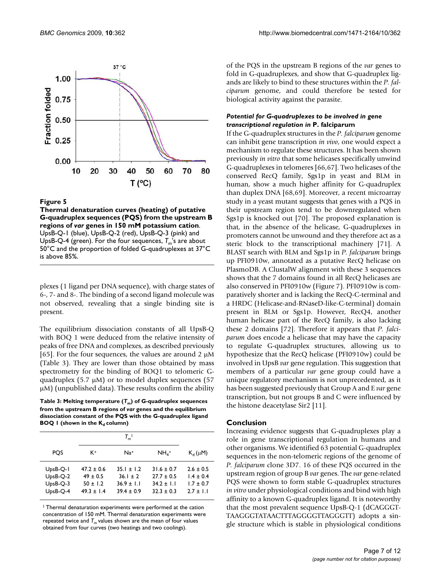

#### Figure 5

**Thermal denaturation curves (heating) of putative G-quadruplex sequences (PQS) from the upstream B regions of** *var* **genes in 150 mM potassium cation**. UpsB-Q-1 (blue), UpsB-Q-2 (red), UpsB-Q-3 (pink) and UpsB-Q-4 (green). For the four sequences,  $T_m$ 's are about 50°C and the proportion of folded G-quadruplexes at 37°C is above 85%.

plexes (1 ligand per DNA sequence), with charge states of 6-, 7- and 8-. The binding of a second ligand molecule was not observed, revealing that a single binding site is present.

The equilibrium dissociation constants of all UpsB-Q with BOQ 1 were deduced from the relative intensity of peaks of free DNA and complexes, as described previously [65]. For the four sequences, the values are around 2  $\mu$ M (Table 3). They are lower than those obtained by mass spectrometry for the binding of BOQ1 to telomeric Gquadruplex (5.7 μM) or to model duplex sequences (57 μM) (unpublished data). These results confirm the ability

**Table 3: Melting temperature (***Tm***) of G-quadruplex sequences from the upstream B regions of** *var* **genes and the equilibrium dissociation constant of the PQS with the G-quadruplex ligand BOQ 1 (shown in the K<sub>d</sub> column)** 

|            |                | $T_{m}$ <sup><math>\vert</math></sup> |                     |               |
|------------|----------------|---------------------------------------|---------------------|---------------|
|            |                |                                       |                     |               |
| <b>POS</b> | K+             | $Na+$                                 | $NH_4$ <sup>+</sup> | $K_d(\mu M)$  |
|            |                |                                       |                     |               |
| $UpsB-Q-1$ | $47.2 \pm 0.6$ | $35.1 + 1.2$                          | $31.6 \pm 0.7$      | $2.6 \pm 0.5$ |
| $UpsB-O-2$ | $49 \pm 0.5$   | $36.1 \pm 2$                          | $27.7 + 0.5$        | $1.4 \pm 0.4$ |
| $UpsB-O-3$ | $50 \pm 1.2$   | $36.9 \pm 1.1$                        | $34.2 + 1.1$        | $1.7 \pm 0.7$ |
| $UpsB-O-4$ | $49.3 + 1.4$   | $39.4 \pm 0.9$                        | $32.3 \pm 0.3$      | $2.7 \pm 1.1$ |
|            |                |                                       |                     |               |

1 Thermal denaturation experiments were performed at the cation concentration of 150 mM. Thermal denaturation experiments were repeated twice and  $T_m$  values shown are the mean of four values obtained from four curves (two heatings and two coolings).

of the PQS in the upstream B regions of the *var* genes to fold in G-quadruplexes, and show that G-quadruplex ligands are likely to bind to these structures within the *P. falciparum* genome, and could therefore be tested for biological activity against the parasite.

#### *Potential for G-quadruplexes to be involved in gene transcriptional regulation in* **P. falciparum**

If the G-quadruplex structures in the *P. falciparum* genome can inhibit gene transcription *in vivo*, one would expect a mechanism to regulate these structures. It has been shown previously *in vitro* that some helicases specifically unwind G-quadruplexes in telomeres [66,67]. Two helicases of the conserved RecQ family, Sgs1p in yeast and BLM in human, show a much higher affinity for G-quadruplex than duplex DNA [68,69]. Moreover, a recent microarray study in a yeast mutant suggests that genes with a PQS in their upstream region tend to be downregulated when Sgs1p is knocked out [70]. The proposed explanation is that, in the absence of the helicase, G-quadruplexes in promoters cannot be unwound and they therefore act as a steric block to the transcriptional machinery [71]. A BLAST search with BLM and Sgs1p in *P. falciparum* brings up PFI0910w, annotated as a putative RecQ helicase on PlasmoDB. A ClustalW alignment with these 3 sequences shows that the 7 domains found in all RecQ helicases are also conserved in PFI0910w (Figure 7). PFI0910w is comparatively shorter and is lacking the RecQ-C-terminal and a HRDC (Helicase-and-RNaseD-like-C-terminal) domain present in BLM or Sgs1p. However, RecQ4, another human helicase part of the RecQ family, is also lacking these 2 domains [72]. Therefore it appears that *P. falciparum* does encode a helicase that may have the capacity to regulate G-quadruplex structures, allowing us to hypothesize that the RecQ helicase (PFI0910w) could be involved in UpsB *var* gene regulation. This suggestion that members of a particular *var* gene group could have a unique regulatory mechanism is not unprecedented, as it has been suggested previously that Group A and E *var* gene transcription, but not groups B and C were influenced by the histone deacetylase Sir2 [11].

# **Conclusion**

Increasing evidence suggests that G-quadruplexes play a role in gene transcriptional regulation in humans and other organisms. We identified 63 potential G-quadruplex sequences in the non-telomeric regions of the genome of *P. falciparum* clone 3D7. 16 of these PQS occurred in the upstream region of group B *var* genes. The *var* gene-related PQS were shown to form stable G-quadruplex structures *in vitro* under physiological conditions and bind with high affinity to a known G-quadruplex ligand. It is noteworthy that the most prevalent sequence UpsB-Q-1 (dCAGGGT-TAAGGGTATAACTTTAGGGGTTAGGGTT) adopts a single structure which is stable in physiological conditions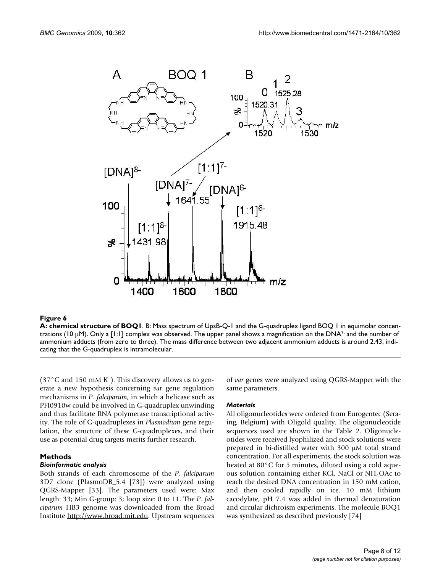

#### **Figure 6**

**A: chemical structure of BOQ1**. B: Mass spectrum of UpsB-Q-1 and the G-quadruplex ligand BOQ 1 in equimolar concentrations (10 μM). Only a [1:1] complex was observed. The upper panel shows a magnification on the DNA<sup>7-</sup> and the number of ammonium adducts (from zero to three). The mass difference between two adjacent ammonium adducts is around 2.43, indicating that the G-quadruplex is intramolecular.

 $(37\degree C$  and 150 mM K<sup>+</sup>). This discovery allows us to generate a new hypothesis concerning *var* gene regulation mechanisms in *P. falciparum*, in which a helicase such as PFI0910w could be involved in G-quadruplex unwinding and thus facilitate RNA polymerase transcriptional activity. The role of G-quadruplexes in *Plasmodium* gene regulation, the structure of these G-quadruplexes, and their use as potential drug targets merits further research.

#### **Methods**

#### *Bioinformatic analysis*

Both strands of each chromosome of the *P. falciparum* 3D7 clone (PlasmoDB\_5.4 [73]) were analyzed using QGRS-Mapper [33]. The parameters used were: Max length: 33; Min G-group: 3; loop size: 0 to 11. The *P. falciparum* HB3 genome was downloaded from the Broad Institute [http://www.broad.mit.edu.](http://www.broad.mit.edu) Upstream sequences of *var* genes were analyzed using QGRS-Mapper with the same parameters.

#### *Materials*

All oligonucleotides were ordered from Eurogentec (Seraing, Belgium) with Oligold quality. The oligonucleotide sequences used are shown in the Table 2. Oligonucleotides were received lyophilized and stock solutions were prepared in bi-distilled water with 300 μM total strand concentration. For all experiments, the stock solution was heated at 80°C for 5 minutes, diluted using a cold aqueous solution containing either KCl, NaCl or  $NH<sub>4</sub>OAc$  to reach the desired DNA concentration in 150 mM cation, and then cooled rapidly on ice. 10 mM lithium cacodylate, pH 7.4 was added in thermal denaturation and circular dichroism experiments. The molecule BOQ1 was synthesized as described previously [74]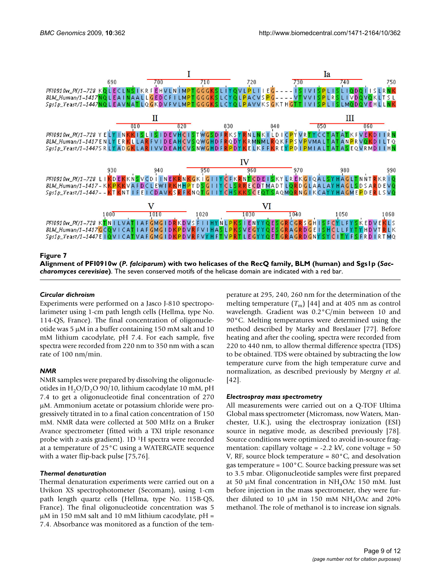

### Alignment of PFI0910w ( **Figure 7** *P. falciparum*) with two helicases of the RecQ family, BLM (human) and Sgs1p (*Saccharomyces cerevisiae*)



#### *Circular dichroism*

Experiments were performed on a Jasco J-810 spectropolarimeter using 1-cm path length cells (Hellma, type No. 114-QS, France). The final concentration of oligonucleotide was 5 μM in a buffer containing 150 mM salt and 10 mM lithium cacodylate, pH 7.4. For each sample, five spectra were recorded from 220 nm to 350 nm with a scan rate of 100 nm/min.

#### *NMR*

NMR samples were prepared by dissolving the oligonucleotides in  $H_2O/D_2O$  90/10, lithium cacodylate 10 mM, pH 7.4 to get a oligonucleotide final concentration of 270 μM. Ammonium acetate or potassium chloride were progressively titrated in to a final cation concentration of 150 mM. NMR data were collected at 500 MHz on a Bruker Avance spectrometer (fitted with a TXI triple resonance probe with z-axis gradient). 1D 1H spectra were recorded at a temperature of 25°C using a WATERGATE sequence with a water flip-back pulse [75,76].

#### *Thermal denaturation*

Thermal denaturation experiments were carried out on a Uvikon XS spectrophotometer (Secomam), using 1-cm path length quartz cells (Hellma, type No. 115B-QS, France). The final oligonucleotide concentration was 5 μM in 150 mM salt and 10 mM lithium cacodylate,  $pH =$ 7.4. Absorbance was monitored as a function of the temperature at 295, 240, 260 nm for the determination of the melting temperature  $(T_m)$  [44] and at 405 nm as control wavelength. Gradient was 0.2°C/min between 10 and 90°C. Melting temperatures were determined using the method described by Marky and Breslauer [77]. Before heating and after the cooling, spectra were recorded from 220 to 440 nm, to allow thermal difference spectra (TDS) to be obtained. TDS were obtained by subtracting the low temperature curve from the high temperature curve and normalization, as described previously by Mergny *et al*. [42].

#### *Electrospray mass spectrometry*

All measurements were carried out on a Q-TOF Ultima Global mass spectrometer (Micromass, now Waters, Manchester, U.K.), using the electrospray ionization (ESI) source in negative mode, as described previously [78]. Source conditions were optimized to avoid in-source fragmentation: capillary voltage  $= -2.2 \text{ kV}$ , cone voltage  $= 50$ V, RF, source block temperature =  $80^{\circ}$ C, and desolvation gas temperature = 100°C. Source backing pressure was set to 3.5 mbar. Oligonucleotide samples were first prepared at 50 μM final concentration in  $NH<sub>4</sub>OAC$  150 mM. Just before injection in the mass spectrometer, they were further diluted to 10  $\mu$ M in 150 mM NH<sub>4</sub>OAc and 20% methanol. The role of methanol is to increase ion signals.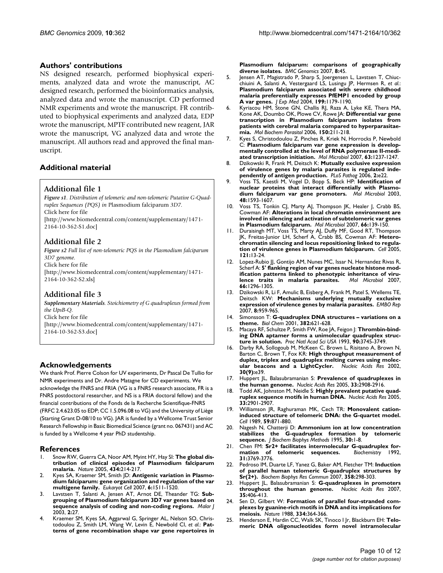#### **Authors' contributions**

NS designed research, performed biophysical experiments, analyzed data and wrote the manuscript, AC designed research, performed the bioinformatics analysis, analyzed data and wrote the manuscript. CD performed NMR experiments and wrote the manuscript. FR contributed to biophysical experiments and analyzed data, EDP wrote the manuscript, MPTF contributed new reagent, JAR wrote the manuscript, VG analyzed data and wrote the manuscript. All authors read and approved the final manuscript.

# **Additional material**

#### **Additional file 1**

*Figure s1. Distribution of telomeric and non-telomeric Putative G-Quadruplex Sequences (PQS) in* Plasmodium falciparum *3D7.* Click here for file [\[http://www.biomedcentral.com/content/supplementary/1471-](http://www.biomedcentral.com/content/supplementary/1471-2164-10-362-S1.doc) 2164-10-362-S1.doc]

## **Additional file 2**

*Figure s2 Full list of non-telomeric PQS in the Plasmodium falciparum 3D7 genome.* Click here for file [\[http://www.biomedcentral.com/content/supplementary/1471-](http://www.biomedcentral.com/content/supplementary/1471-2164-10-362-S2.xls)

# **Additional file 3**

2164-10-362-S2.xls]

*Supplementary Materials. Stoichiometry of G quadruplexes formed from the UpsB-Q.* Click here for file [\[http://www.biomedcentral.com/content/supplementary/1471-](http://www.biomedcentral.com/content/supplementary/1471-2164-10-362-S3.doc) 2164-10-362-S3.doc]

# **Acknowledgements**

We thank Prof. Pierre Colson for UV experiments, Dr Pascal De Tullio for NMR experiments and Dr. Andre Matagne for CD experiments. We acknowledge the FNRS and FRIA (VG is a FNRS research associate, FR is a FNRS postdoctoral researcher, and NS is a FRIA doctoral fellow) and the financial contributions of the Fonds de la Recherche Scientifique-FNRS (FRFC 2.4.623.05 to EDP; CC 1.5.096.08 to VG) and the University of Liège (Starting Grant D-08/10 to VG). JAR is funded by a Wellcome Trust Senior Research Fellowship in Basic Biomedical Science (grant no. 067431) and AC is funded by a Wellcome 4 year PhD studentship.

#### **References**

- Snow RW, Guerra CA, Noor AM, Myint HY, Hay SI: [The global dis](http://www.ncbi.nlm.nih.gov/entrez/query.fcgi?cmd=Retrieve&db=PubMed&dopt=Abstract&list_uids=15759000)**[tribution of clinical episodes of Plasmodium falciparum](http://www.ncbi.nlm.nih.gov/entrez/query.fcgi?cmd=Retrieve&db=PubMed&dopt=Abstract&list_uids=15759000) [malaria.](http://www.ncbi.nlm.nih.gov/entrez/query.fcgi?cmd=Retrieve&db=PubMed&dopt=Abstract&list_uids=15759000)** *Nature* 2005, **434:**214-217.
- 2. Kyes SA, Kraemer SM, Smith JD: **[Antigenic variation in Plasmo](http://www.ncbi.nlm.nih.gov/entrez/query.fcgi?cmd=Retrieve&db=PubMed&dopt=Abstract&list_uids=17644655)[dium falciparum: gene organization and regulation of the var](http://www.ncbi.nlm.nih.gov/entrez/query.fcgi?cmd=Retrieve&db=PubMed&dopt=Abstract&list_uids=17644655) [multigene family.](http://www.ncbi.nlm.nih.gov/entrez/query.fcgi?cmd=Retrieve&db=PubMed&dopt=Abstract&list_uids=17644655)** *Eukaryot Cell* 2007, **6:**1511-1520.
- Lavstsen T, Salanti A, Jensen AT, Arnot DE, Theander TG: [Sub](http://www.ncbi.nlm.nih.gov/entrez/query.fcgi?cmd=Retrieve&db=PubMed&dopt=Abstract&list_uids=14565852)**[grouping of Plasmodium falciparum 3D7 var genes based on](http://www.ncbi.nlm.nih.gov/entrez/query.fcgi?cmd=Retrieve&db=PubMed&dopt=Abstract&list_uids=14565852) [sequence analysis of coding and non-coding regions.](http://www.ncbi.nlm.nih.gov/entrez/query.fcgi?cmd=Retrieve&db=PubMed&dopt=Abstract&list_uids=14565852)** *Malar J* 2003, **2:**27.
- 4. Kraemer SM, Kyes SA, Aggarwal G, Springer AL, Nelson SO, Christodoulou Z, Smith LM, Wang W, Levin E, Newbold CI, *et al.*: **[Pat](http://www.ncbi.nlm.nih.gov/entrez/query.fcgi?cmd=Retrieve&db=PubMed&dopt=Abstract&list_uids=17286864)[terns of gene recombination shape var gene repertoires in](http://www.ncbi.nlm.nih.gov/entrez/query.fcgi?cmd=Retrieve&db=PubMed&dopt=Abstract&list_uids=17286864)**

**[Plasmodium falciparum: comparisons of geographically](http://www.ncbi.nlm.nih.gov/entrez/query.fcgi?cmd=Retrieve&db=PubMed&dopt=Abstract&list_uids=17286864) [diverse isolates.](http://www.ncbi.nlm.nih.gov/entrez/query.fcgi?cmd=Retrieve&db=PubMed&dopt=Abstract&list_uids=17286864)** *BMC Genomics* 2007, **8:**45.

- 5. Jensen AT, Magistrado P, Sharp S, Joergensen L, Lavstsen T, Chiucchiuini A, Salanti A, Vestergaard LS, Lusingu JP, Hermsen R, *et al.*: **[Plasmodium falciparum associated with severe childhood](http://www.ncbi.nlm.nih.gov/entrez/query.fcgi?cmd=Retrieve&db=PubMed&dopt=Abstract&list_uids=15123742) malaria preferentially expresses PfEMP1 encoded by group [A var genes.](http://www.ncbi.nlm.nih.gov/entrez/query.fcgi?cmd=Retrieve&db=PubMed&dopt=Abstract&list_uids=15123742)** *J Exp Med* 2004, **199:**1179-1190.
- 6. Kyriacou HM, Stone GN, Challis RJ, Raza A, Lyke KE, Thera MA, Kone AK, Doumbo OK, Plowe CV, Rowe JA: **[Differential var gene](http://www.ncbi.nlm.nih.gov/entrez/query.fcgi?cmd=Retrieve&db=PubMed&dopt=Abstract&list_uids=16996149) [transcription in Plasmodium falciparum isolates from](http://www.ncbi.nlm.nih.gov/entrez/query.fcgi?cmd=Retrieve&db=PubMed&dopt=Abstract&list_uids=16996149) patients with cerebral malaria compared to hyperparasitae[mia.](http://www.ncbi.nlm.nih.gov/entrez/query.fcgi?cmd=Retrieve&db=PubMed&dopt=Abstract&list_uids=16996149)** *Mol Biochem Parasitol* 2006, **150:**211-218.
- 7. Kyes S, Christodoulou Z, Pinches R, Kriek N, Horrocks P, Newbold C: **[Plasmodium falciparum var gene expression is develop](http://www.ncbi.nlm.nih.gov/entrez/query.fcgi?cmd=Retrieve&db=PubMed&dopt=Abstract&list_uids=17257309)[mentally controlled at the level of RNA polymerase II-medi](http://www.ncbi.nlm.nih.gov/entrez/query.fcgi?cmd=Retrieve&db=PubMed&dopt=Abstract&list_uids=17257309)[ated transcription initiation.](http://www.ncbi.nlm.nih.gov/entrez/query.fcgi?cmd=Retrieve&db=PubMed&dopt=Abstract&list_uids=17257309)** *Mol Microbiol* 2007, **63:**1237-1247.
- 8. Dzikowski R, Frank M, Deitsch K: **[Mutually exclusive expression](http://www.ncbi.nlm.nih.gov/entrez/query.fcgi?cmd=Retrieve&db=PubMed&dopt=Abstract&list_uids=16518466) [of virulence genes by malaria parasites is regulated inde](http://www.ncbi.nlm.nih.gov/entrez/query.fcgi?cmd=Retrieve&db=PubMed&dopt=Abstract&list_uids=16518466)[pendently of antigen production.](http://www.ncbi.nlm.nih.gov/entrez/query.fcgi?cmd=Retrieve&db=PubMed&dopt=Abstract&list_uids=16518466)** *PLoS Pathog* 2006, **2:**e22.
- 9. Voss TS, Kaestli M, Vogel D, Bopp S, Beck HP: **[Identification of](http://www.ncbi.nlm.nih.gov/entrez/query.fcgi?cmd=Retrieve&db=PubMed&dopt=Abstract&list_uids=12791141) [nuclear proteins that interact differentially with Plasmo](http://www.ncbi.nlm.nih.gov/entrez/query.fcgi?cmd=Retrieve&db=PubMed&dopt=Abstract&list_uids=12791141)[dium falciparum var gene promoters.](http://www.ncbi.nlm.nih.gov/entrez/query.fcgi?cmd=Retrieve&db=PubMed&dopt=Abstract&list_uids=12791141)** *Mol Microbiol* 2003, **48:**1593-1607.
- 10. Voss TS, Tonkin CJ, Marty AJ, Thompson JK, Healer J, Crabb BS, Cowman AF: **[Alterations in local chromatin environment are](http://www.ncbi.nlm.nih.gov/entrez/query.fcgi?cmd=Retrieve&db=PubMed&dopt=Abstract&list_uids=17725559) [involved in silencing and activation of subtelomeric var genes](http://www.ncbi.nlm.nih.gov/entrez/query.fcgi?cmd=Retrieve&db=PubMed&dopt=Abstract&list_uids=17725559) [in Plasmodium falciparum.](http://www.ncbi.nlm.nih.gov/entrez/query.fcgi?cmd=Retrieve&db=PubMed&dopt=Abstract&list_uids=17725559)** *Mol Microbiol* 2007, **66:**139-150.
- 11. Duraisingh MT, Voss TS, Marty AJ, Duffy MF, Good RT, Thompson JK, Freitas-Junior LH, Scherf A, Crabb BS, Cowman AF: **[Hetero](http://www.ncbi.nlm.nih.gov/entrez/query.fcgi?cmd=Retrieve&db=PubMed&dopt=Abstract&list_uids=15820675)[chromatin silencing and locus repositioning linked to regula](http://www.ncbi.nlm.nih.gov/entrez/query.fcgi?cmd=Retrieve&db=PubMed&dopt=Abstract&list_uids=15820675)[tion of virulence genes in Plasmodium falciparum.](http://www.ncbi.nlm.nih.gov/entrez/query.fcgi?cmd=Retrieve&db=PubMed&dopt=Abstract&list_uids=15820675)** *Cell* 2005, **121:**13-24.
- 12. Lopez-Rubio JJ, Gontijo AM, Nunes MC, Issar N, Hernandez Rivas R, Scherf A: **[5' flanking region of var genes nucleate histone mod](http://www.ncbi.nlm.nih.gov/entrez/query.fcgi?cmd=Retrieve&db=PubMed&dopt=Abstract&list_uids=18028313)[ification patterns linked to phenotypic inheritance of viru](http://www.ncbi.nlm.nih.gov/entrez/query.fcgi?cmd=Retrieve&db=PubMed&dopt=Abstract&list_uids=18028313)[lence traits in malaria parasites.](http://www.ncbi.nlm.nih.gov/entrez/query.fcgi?cmd=Retrieve&db=PubMed&dopt=Abstract&list_uids=18028313)** *Mol Microbiol* 2007, **66:**1296-1305.
- 13. Dzikowski R, Li F, Amulic B, Eisberg A, Frank M, Patel S, Wellems TE, Deitsch KW: **[Mechanisms underlying mutually exclusive](http://www.ncbi.nlm.nih.gov/entrez/query.fcgi?cmd=Retrieve&db=PubMed&dopt=Abstract&list_uids=17762879) [expression of virulence genes by malaria parasites.](http://www.ncbi.nlm.nih.gov/entrez/query.fcgi?cmd=Retrieve&db=PubMed&dopt=Abstract&list_uids=17762879)** *EMBO Rep* 2007, **8:**959-965.
- 14. Simonsson T: **[G-quadruplex DNA structures variations on a](http://www.ncbi.nlm.nih.gov/entrez/query.fcgi?cmd=Retrieve&db=PubMed&dopt=Abstract&list_uids=11405224) [theme.](http://www.ncbi.nlm.nih.gov/entrez/query.fcgi?cmd=Retrieve&db=PubMed&dopt=Abstract&list_uids=11405224)** *Biol Chem* 2001, **382:**621-628.
- 15. Macaya RF, Schultze P, Smith FW, Roe JA, Feigon J: **[Thrombin-bind](http://www.ncbi.nlm.nih.gov/entrez/query.fcgi?cmd=Retrieve&db=PubMed&dopt=Abstract&list_uids=8475124)[ing DNA aptamer forms a unimolecular quadruplex struc](http://www.ncbi.nlm.nih.gov/entrez/query.fcgi?cmd=Retrieve&db=PubMed&dopt=Abstract&list_uids=8475124)[ture in solution.](http://www.ncbi.nlm.nih.gov/entrez/query.fcgi?cmd=Retrieve&db=PubMed&dopt=Abstract&list_uids=8475124)** *Proc Natl Acad Sci USA* 1993, **90:**3745-3749.
- 16. Darby RA, Sollogoub M, McKeen C, Brown L, Risitano A, Brown N, Barton C, Brown T, Fox KR: **[High throughput measurement of](http://www.ncbi.nlm.nih.gov/entrez/query.fcgi?cmd=Retrieve&db=PubMed&dopt=Abstract&list_uids=11972354) [duplex, triplex and quadruplex melting curves using molec](http://www.ncbi.nlm.nih.gov/entrez/query.fcgi?cmd=Retrieve&db=PubMed&dopt=Abstract&list_uids=11972354)[ular beacons and a LightCycler.](http://www.ncbi.nlm.nih.gov/entrez/query.fcgi?cmd=Retrieve&db=PubMed&dopt=Abstract&list_uids=11972354)** *Nucleic Acids Res* 2002, **30(9):**e39.
- 17. Huppert JL, Balasubramanian S: **[Prevalence of quadruplexes in](http://www.ncbi.nlm.nih.gov/entrez/query.fcgi?cmd=Retrieve&db=PubMed&dopt=Abstract&list_uids=15914667) [the human genome.](http://www.ncbi.nlm.nih.gov/entrez/query.fcgi?cmd=Retrieve&db=PubMed&dopt=Abstract&list_uids=15914667)** *Nucleic Acids Res* 2005, **33:**2908-2916.
- 18. Todd AK, Johnston M, Neidle S: **[Highly prevalent putative quad](http://www.ncbi.nlm.nih.gov/entrez/query.fcgi?cmd=Retrieve&db=PubMed&dopt=Abstract&list_uids=15914666)[ruplex sequence motifs in human DNA.](http://www.ncbi.nlm.nih.gov/entrez/query.fcgi?cmd=Retrieve&db=PubMed&dopt=Abstract&list_uids=15914666)** *Nucleic Acids Res* 2005, **33:**2901-2907.
- 19. Williamson JR, Raghuraman MK, Cech TR: **[Monovalent cation](http://www.ncbi.nlm.nih.gov/entrez/query.fcgi?cmd=Retrieve&db=PubMed&dopt=Abstract&list_uids=2590943)[induced structure of telomeric DNA: the G-quartet model.](http://www.ncbi.nlm.nih.gov/entrez/query.fcgi?cmd=Retrieve&db=PubMed&dopt=Abstract&list_uids=2590943)** *Cell* 1989, **59:**871-880.
- 20. Nagesh N, Chatterji D: **[Ammonium ion at low concentration](http://www.ncbi.nlm.nih.gov/entrez/query.fcgi?cmd=Retrieve&db=PubMed&dopt=Abstract&list_uids=7608467) [stabilizes the G-quadruplex formation by telomeric](http://www.ncbi.nlm.nih.gov/entrez/query.fcgi?cmd=Retrieve&db=PubMed&dopt=Abstract&list_uids=7608467) [sequence.](http://www.ncbi.nlm.nih.gov/entrez/query.fcgi?cmd=Retrieve&db=PubMed&dopt=Abstract&list_uids=7608467)** *J Biochem Biophys Methods* 1995, **30:**1-8.
- 21. Chen FM: **[Sr2+ facilitates intermolecular G-quadruplex for](http://www.ncbi.nlm.nih.gov/entrez/query.fcgi?cmd=Retrieve&db=PubMed&dopt=Abstract&list_uids=1567831)**[mation of telomeric sequences.](http://www.ncbi.nlm.nih.gov/entrez/query.fcgi?cmd=Retrieve&db=PubMed&dopt=Abstract&list_uids=1567831) **31:**3769-3776.
- 22. Pedroso IM, Duarte LF, Yanez G, Baker AM, Fletcher TM: **[Induction](http://www.ncbi.nlm.nih.gov/entrez/query.fcgi?cmd=Retrieve&db=PubMed&dopt=Abstract&list_uids=17485073) [of parallel human telomeric G-quadruplex structures by](http://www.ncbi.nlm.nih.gov/entrez/query.fcgi?cmd=Retrieve&db=PubMed&dopt=Abstract&list_uids=17485073) [Sr\(2+\).](http://www.ncbi.nlm.nih.gov/entrez/query.fcgi?cmd=Retrieve&db=PubMed&dopt=Abstract&list_uids=17485073)** *Biochem Biophys Res Commun* 2007, **358:**298-303.
- 23. Huppert JL, Balasubramanian S: **[G-quadruplexes in promoters](http://www.ncbi.nlm.nih.gov/entrez/query.fcgi?cmd=Retrieve&db=PubMed&dopt=Abstract&list_uids=17169996) [throughout the human genome.](http://www.ncbi.nlm.nih.gov/entrez/query.fcgi?cmd=Retrieve&db=PubMed&dopt=Abstract&list_uids=17169996)** *Nucleic Acids Res* 2007, **35:**406-413.
- 24. Sen D, Gilbert W: **[Formation of parallel four-stranded com](http://www.ncbi.nlm.nih.gov/entrez/query.fcgi?cmd=Retrieve&db=PubMed&dopt=Abstract&list_uids=3393228)[plexes by guanine-rich motifs in DNA and its implications for](http://www.ncbi.nlm.nih.gov/entrez/query.fcgi?cmd=Retrieve&db=PubMed&dopt=Abstract&list_uids=3393228) [meiosis.](http://www.ncbi.nlm.nih.gov/entrez/query.fcgi?cmd=Retrieve&db=PubMed&dopt=Abstract&list_uids=3393228)** *Nature* 1988, **334:**364-366.
- 25. Henderson E, Hardin CC, Walk SK, Tinoco I Jr, Blackburn EH: **[Telo](http://www.ncbi.nlm.nih.gov/entrez/query.fcgi?cmd=Retrieve&db=PubMed&dopt=Abstract&list_uids=3690664)[meric DNA oligonucleotides form novel intramolecular](http://www.ncbi.nlm.nih.gov/entrez/query.fcgi?cmd=Retrieve&db=PubMed&dopt=Abstract&list_uids=3690664)**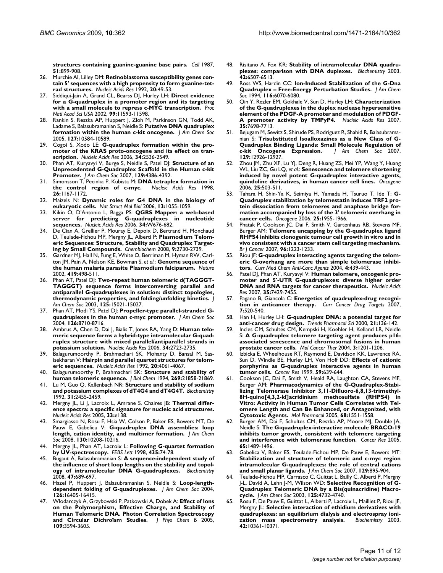**[structures containing guanine-guanine base pairs.](http://www.ncbi.nlm.nih.gov/entrez/query.fcgi?cmd=Retrieve&db=PubMed&dopt=Abstract&list_uids=3690664)** *Cell* 1987, **51:**899-908.

- 26. Murchie AI, Lilley DM: **[Retinoblastoma susceptibility genes con](http://www.ncbi.nlm.nih.gov/entrez/query.fcgi?cmd=Retrieve&db=PubMed&dopt=Abstract&list_uids=1738603)[tain 5' sequences with a high propensity to form guanine-tet](http://www.ncbi.nlm.nih.gov/entrez/query.fcgi?cmd=Retrieve&db=PubMed&dopt=Abstract&list_uids=1738603)[rad structures.](http://www.ncbi.nlm.nih.gov/entrez/query.fcgi?cmd=Retrieve&db=PubMed&dopt=Abstract&list_uids=1738603)** *Nucleic Acids Res* 1992, **20:**49-53.
- 27. Siddiqui-Jain A, Grand CL, Bearss DJ, Hurley LH: **[Direct evidence](http://www.ncbi.nlm.nih.gov/entrez/query.fcgi?cmd=Retrieve&db=PubMed&dopt=Abstract&list_uids=12195017) [for a G-quadruplex in a promoter region and its targeting](http://www.ncbi.nlm.nih.gov/entrez/query.fcgi?cmd=Retrieve&db=PubMed&dopt=Abstract&list_uids=12195017) [with a small molecule to repress c-MYC transcription.](http://www.ncbi.nlm.nih.gov/entrez/query.fcgi?cmd=Retrieve&db=PubMed&dopt=Abstract&list_uids=12195017)** *Proc Natl Acad Sci USA* 2002, **99:**11593-11598.
- 28. Rankin S, Reszka AP, Huppert J, Zloh M, Parkinson GN, Todd AK, Ladame S, Balasubramanian S, Neidle S: **[Putative DNA quadruplex](http://www.ncbi.nlm.nih.gov/entrez/query.fcgi?cmd=Retrieve&db=PubMed&dopt=Abstract&list_uids=16045346) [formation within the human c-kit oncogene.](http://www.ncbi.nlm.nih.gov/entrez/query.fcgi?cmd=Retrieve&db=PubMed&dopt=Abstract&list_uids=16045346)** *J Am Chem Soc* 2005, **127:**10584-10589.
- 29. Cogoi S, Xodo LE: **[G-quadruplex formation within the pro](http://www.ncbi.nlm.nih.gov/entrez/query.fcgi?cmd=Retrieve&db=PubMed&dopt=Abstract&list_uids=16687659)[moter of the KRAS proto-oncogene and its effect on tran](http://www.ncbi.nlm.nih.gov/entrez/query.fcgi?cmd=Retrieve&db=PubMed&dopt=Abstract&list_uids=16687659)[scription.](http://www.ncbi.nlm.nih.gov/entrez/query.fcgi?cmd=Retrieve&db=PubMed&dopt=Abstract&list_uids=16687659)** *Nucleic Acids Res* 2006, **34:**2536-2549.
- 30. Phan AT, Kuryavyi V, Burge S, Neidle S, Patel DJ: **[Structure of an](http://www.ncbi.nlm.nih.gov/entrez/query.fcgi?cmd=Retrieve&db=PubMed&dopt=Abstract&list_uids=17362008) [Unprecedented G-Quadruplex Scaffold in the Human c-kit](http://www.ncbi.nlm.nih.gov/entrez/query.fcgi?cmd=Retrieve&db=PubMed&dopt=Abstract&list_uids=17362008) [Promoter.](http://www.ncbi.nlm.nih.gov/entrez/query.fcgi?cmd=Retrieve&db=PubMed&dopt=Abstract&list_uids=17362008)** *J Am Chem Soc* 2007, **129:**4386-4392.
- 31. Simonsson T, Pecinka P, Kubista M: **[DNA tetraplex formation in](http://www.ncbi.nlm.nih.gov/entrez/query.fcgi?cmd=Retrieve&db=PubMed&dopt=Abstract&list_uids=9469822)** [the control region of c-myc.](http://www.ncbi.nlm.nih.gov/entrez/query.fcgi?cmd=Retrieve&db=PubMed&dopt=Abstract&list_uids=9469822) **26:**1167-1172.
- 32. Maizels N: **[Dynamic roles for G4 DNA in the biology of](http://www.ncbi.nlm.nih.gov/entrez/query.fcgi?cmd=Retrieve&db=PubMed&dopt=Abstract&list_uids=17146462) [eukaryotic cells.](http://www.ncbi.nlm.nih.gov/entrez/query.fcgi?cmd=Retrieve&db=PubMed&dopt=Abstract&list_uids=17146462)** *Nat Struct Mol Biol* 2006, **13:**1055-1059.
- 33. Kikin O, D'Antonio L, Bagga PS: **[QGRS Mapper: a web-based](http://www.ncbi.nlm.nih.gov/entrez/query.fcgi?cmd=Retrieve&db=PubMed&dopt=Abstract&list_uids=16845096) [server for predicting G-quadruplexes in nucleotide](http://www.ncbi.nlm.nih.gov/entrez/query.fcgi?cmd=Retrieve&db=PubMed&dopt=Abstract&list_uids=16845096) [sequences.](http://www.ncbi.nlm.nih.gov/entrez/query.fcgi?cmd=Retrieve&db=PubMed&dopt=Abstract&list_uids=16845096)** *Nucleic Acids Res* 2006, **34:**W676-682.
- 34. De Cian A, Grellier P, Mouray E, Depoix D, Bertrand H, Monchaud D, Teulade-Fichou MP, Mergny JL, Alberti P: **[Plasmodium Telom](http://www.ncbi.nlm.nih.gov/entrez/query.fcgi?cmd=Retrieve&db=PubMed&dopt=Abstract&list_uids=18924216)[eric Sequences: Structure, Stability and Quadruplex Target](http://www.ncbi.nlm.nih.gov/entrez/query.fcgi?cmd=Retrieve&db=PubMed&dopt=Abstract&list_uids=18924216)[ing by Small Compounds.](http://www.ncbi.nlm.nih.gov/entrez/query.fcgi?cmd=Retrieve&db=PubMed&dopt=Abstract&list_uids=18924216)** *Chembiochem* 2008, **9:**2730-2739.
- 35. Gardner MJ, Hall N, Fung E, White O, Berriman M, Hyman RW, Carlton JM, Pain A, Nelson KE, Bowman S, *et al.*: **[Genome sequence of](http://www.ncbi.nlm.nih.gov/entrez/query.fcgi?cmd=Retrieve&db=PubMed&dopt=Abstract&list_uids=12368864) [the human malaria parasite Plasmodium falciparum.](http://www.ncbi.nlm.nih.gov/entrez/query.fcgi?cmd=Retrieve&db=PubMed&dopt=Abstract&list_uids=12368864)** *Nature* 2002, **419:**498-511.
- 36. Phan AT, Patel DJ: **[Two-repeat human telomeric d\(TAGGGT-](http://www.ncbi.nlm.nih.gov/entrez/query.fcgi?cmd=Retrieve&db=PubMed&dopt=Abstract&list_uids=14653736)[TAGGGT\) sequence forms interconverting parallel and](http://www.ncbi.nlm.nih.gov/entrez/query.fcgi?cmd=Retrieve&db=PubMed&dopt=Abstract&list_uids=14653736) antiparallel G-quadruplexes in solution: distinct topologies, [thermodynamic properties, and folding/unfolding kinetics.](http://www.ncbi.nlm.nih.gov/entrez/query.fcgi?cmd=Retrieve&db=PubMed&dopt=Abstract&list_uids=14653736)** *J Am Chem Soc* 2003, **125:**15021-15027.
- 37. Phan AT, Modi YS, Patel DJ: **[Propeller-type parallel-stranded G](http://www.ncbi.nlm.nih.gov/entrez/query.fcgi?cmd=Retrieve&db=PubMed&dopt=Abstract&list_uids=15250723)[quadruplexes in the human c-myc promoter.](http://www.ncbi.nlm.nih.gov/entrez/query.fcgi?cmd=Retrieve&db=PubMed&dopt=Abstract&list_uids=15250723)** *J Am Chem Soc* 2004, **126:**8710-8716.
- 38. Ambrus A, Chen D, Dai J, Bialis T, Jones RA, Yang D: **[Human telo](http://www.ncbi.nlm.nih.gov/entrez/query.fcgi?cmd=Retrieve&db=PubMed&dopt=Abstract&list_uids=16714449)[meric sequence forms a hybrid-type intramolecular G-quad](http://www.ncbi.nlm.nih.gov/entrez/query.fcgi?cmd=Retrieve&db=PubMed&dopt=Abstract&list_uids=16714449)ruplex structure with mixed parallel/antiparallel strands in [potassium solution.](http://www.ncbi.nlm.nih.gov/entrez/query.fcgi?cmd=Retrieve&db=PubMed&dopt=Abstract&list_uids=16714449)** *Nucleic Acids Res* 2006, **34:**2723-2735.
- 39. Balagurumoorthy P, Brahmachari SK, Mohanty D, Bansal M, Sasisekharan V: **[Hairpin and parallel quartet structures for telom](http://www.ncbi.nlm.nih.gov/entrez/query.fcgi?cmd=Retrieve&db=PubMed&dopt=Abstract&list_uids=1508691)[eric sequences.](http://www.ncbi.nlm.nih.gov/entrez/query.fcgi?cmd=Retrieve&db=PubMed&dopt=Abstract&list_uids=1508691)** *Nucleic Acids Res* 1992, **20:**4061-4067.
- 40. Balagurumoorthy P, Brahmachari SK: **[Structure and stability of](http://www.ncbi.nlm.nih.gov/entrez/query.fcgi?cmd=Retrieve&db=PubMed&dopt=Abstract&list_uids=8063830) [human telomeric sequence.](http://www.ncbi.nlm.nih.gov/entrez/query.fcgi?cmd=Retrieve&db=PubMed&dopt=Abstract&list_uids=8063830)** *J Biol Chem* 1994, **269:**21858-21869.
- 41. Lu M, Guo Q, Kallenbach NR: **[Structure and stability of sodium](http://www.ncbi.nlm.nih.gov/entrez/query.fcgi?cmd=Retrieve&db=PubMed&dopt=Abstract&list_uids=1547229) [and potassium complexes of dT4G4 and dT4G4T.](http://www.ncbi.nlm.nih.gov/entrez/query.fcgi?cmd=Retrieve&db=PubMed&dopt=Abstract&list_uids=1547229)** *Biochemistry* 1992, **31:**2455-2459.
- 42. Mergny JL, Li J, Lacroix L, Amrane S, Chaires JB: **[Thermal differ](http://www.ncbi.nlm.nih.gov/entrez/query.fcgi?cmd=Retrieve&db=PubMed&dopt=Abstract&list_uids=16157860)[ence spectra: a specific signature for nucleic acid structures.](http://www.ncbi.nlm.nih.gov/entrez/query.fcgi?cmd=Retrieve&db=PubMed&dopt=Abstract&list_uids=16157860)** *Nucleic Acids Res* 2005, **33:**e138.
- 43. Smargiasso N, Rosu F, Hsia W, Colson P, Baker ES, Bowers MT, De Pauw E, Gabelica V: **[G-quadruplex DNA assemblies: loop](http://www.ncbi.nlm.nih.gov/entrez/query.fcgi?cmd=Retrieve&db=PubMed&dopt=Abstract&list_uids=18627159) [length, cation identity, and multimer formation.](http://www.ncbi.nlm.nih.gov/entrez/query.fcgi?cmd=Retrieve&db=PubMed&dopt=Abstract&list_uids=18627159)** *J Am Chem Soc* 2008, **130:**10208-10216.
- 44. Mergny JL, Phan AT, Lacroix L: **[Following G-quartet formation](http://www.ncbi.nlm.nih.gov/entrez/query.fcgi?cmd=Retrieve&db=PubMed&dopt=Abstract&list_uids=9755862) [by UV-spectroscopy.](http://www.ncbi.nlm.nih.gov/entrez/query.fcgi?cmd=Retrieve&db=PubMed&dopt=Abstract&list_uids=9755862)** *FEBS Lett* 1998, **435:**74-78.
- 45. Bugaut A, Balasubramanian S: **[A sequence-independent study of](http://www.ncbi.nlm.nih.gov/entrez/query.fcgi?cmd=Retrieve&db=PubMed&dopt=Abstract&list_uids=18092816) [the influence of short loop lengths on the stability and topol](http://www.ncbi.nlm.nih.gov/entrez/query.fcgi?cmd=Retrieve&db=PubMed&dopt=Abstract&list_uids=18092816)[ogy of intramolecular DNA G-quadruplexes.](http://www.ncbi.nlm.nih.gov/entrez/query.fcgi?cmd=Retrieve&db=PubMed&dopt=Abstract&list_uids=18092816)** *Biochemistry* 2008, **47:**689-697.
- 46. Hazel P, Huppert J, Balasubramanian S, Neidle S: **[Loop-length](http://www.ncbi.nlm.nih.gov/entrez/query.fcgi?cmd=Retrieve&db=PubMed&dopt=Abstract&list_uids=15600342)[dependent folding of G-quadruplexes.](http://www.ncbi.nlm.nih.gov/entrez/query.fcgi?cmd=Retrieve&db=PubMed&dopt=Abstract&list_uids=15600342)** *J Am Chem Soc* 2004, **126:**16405-16415.
- 47. Wlodarczyk A, Grzybowski P, Patkowski A, Dobek A: **[Effect of Ions](http://www.ncbi.nlm.nih.gov/entrez/query.fcgi?cmd=Retrieve&db=PubMed&dopt=Abstract&list_uids=16851398) [on the Polymorphism, Effective Charge, and Stability of](http://www.ncbi.nlm.nih.gov/entrez/query.fcgi?cmd=Retrieve&db=PubMed&dopt=Abstract&list_uids=16851398) Human Telomeric DNA. Photon Correlation Spectroscopy [and Circular Dichroïsm Studies.](http://www.ncbi.nlm.nih.gov/entrez/query.fcgi?cmd=Retrieve&db=PubMed&dopt=Abstract&list_uids=16851398)** *J Phys Chem B* 2005, **109:**3594-3605.
- 48. Risitano A, Fox KR: **[Stability of intramolecular DNA quadru](http://www.ncbi.nlm.nih.gov/entrez/query.fcgi?cmd=Retrieve&db=PubMed&dopt=Abstract&list_uids=12767234)[plexes: comparison with DNA duplexes.](http://www.ncbi.nlm.nih.gov/entrez/query.fcgi?cmd=Retrieve&db=PubMed&dopt=Abstract&list_uids=12767234)** *Biochemistry* 2003, **42:**6507-6513.
- 49. Ross WS, Hardin CC: **Ion-Induced Stabilization of the G-Dna Quadruplex – Free-Energy Perturbation Studies.** *J Am Chem Soc* 1994, **116:**6070-6080.
- 50. Qin Y, Rezler EM, Gokhale V, Sun D, Hurley LH: **[Characterization](http://www.ncbi.nlm.nih.gov/entrez/query.fcgi?cmd=Retrieve&db=PubMed&dopt=Abstract&list_uids=17984069) [of the G-quadruplexes in the duplex nuclease hypersensitive](http://www.ncbi.nlm.nih.gov/entrez/query.fcgi?cmd=Retrieve&db=PubMed&dopt=Abstract&list_uids=17984069) element of the PDGF-A promoter and modulation of PDGF-[A promoter activity by TMPyP4.](http://www.ncbi.nlm.nih.gov/entrez/query.fcgi?cmd=Retrieve&db=PubMed&dopt=Abstract&list_uids=17984069)** *Nucleic Acids Res* 2007, **35:**7698-7713.
- 51. Bejugam M, Sewitz S, Shirude PS, Rodriguez R, Shahid R, Balasubramanian S: **[Trisubstituted Isoalloxazines as a New Class of G-](http://www.ncbi.nlm.nih.gov/entrez/query.fcgi?cmd=Retrieve&db=PubMed&dopt=Abstract&list_uids=17918848)[Quadruplex Binding Ligands: Small Molecule Regulation of](http://www.ncbi.nlm.nih.gov/entrez/query.fcgi?cmd=Retrieve&db=PubMed&dopt=Abstract&list_uids=17918848) [c-kit Oncogene Expression.](http://www.ncbi.nlm.nih.gov/entrez/query.fcgi?cmd=Retrieve&db=PubMed&dopt=Abstract&list_uids=17918848)** *J Am Chem Soc* 2007, **129:**12926-12927.
- Zhou JM, Zhu XF, Lu YJ, Deng R, Huang ZS, Mei YP, Wang Y, Huang WL, Liu ZC, Gu LQ, *et al.*: **[Senescence and telomere shortening](http://www.ncbi.nlm.nih.gov/entrez/query.fcgi?cmd=Retrieve&db=PubMed&dopt=Abstract&list_uids=16170347) [induced by novel potent G-quadruplex interactive agents,](http://www.ncbi.nlm.nih.gov/entrez/query.fcgi?cmd=Retrieve&db=PubMed&dopt=Abstract&list_uids=16170347) [quindoline derivatives, in human cancer cell lines.](http://www.ncbi.nlm.nih.gov/entrez/query.fcgi?cmd=Retrieve&db=PubMed&dopt=Abstract&list_uids=16170347)** *Oncogene* 2006, **25:**503-511.
- 53. Tahara H, Shin-Ya K, Seimiya H, Yamada H, Tsuruo T, Ide T: **[G-](http://www.ncbi.nlm.nih.gov/entrez/query.fcgi?cmd=Retrieve&db=PubMed&dopt=Abstract&list_uids=16302000)Quadruplex stabilization by telomestatin induces TRF2 pro[tein dissociation from telomeres and anaphase bridge for](http://www.ncbi.nlm.nih.gov/entrez/query.fcgi?cmd=Retrieve&db=PubMed&dopt=Abstract&list_uids=16302000)mation accompanied by loss of the 3' telomeric overhang in [cancer cells.](http://www.ncbi.nlm.nih.gov/entrez/query.fcgi?cmd=Retrieve&db=PubMed&dopt=Abstract&list_uids=16302000)** *Oncogene* 2006, **25:**1955-1966.
- Phatak P, Cookson JC, Dai F, Smith V, Gartenhaus RB, Stevens MF, Burger AM: **[Telomere uncapping by the G-quadruplex ligand](http://www.ncbi.nlm.nih.gov/entrez/query.fcgi?cmd=Retrieve&db=PubMed&dopt=Abstract&list_uids=17406367) [RHPS4 inhibits clonogenic tumour cell growth in vitro and in](http://www.ncbi.nlm.nih.gov/entrez/query.fcgi?cmd=Retrieve&db=PubMed&dopt=Abstract&list_uids=17406367) vivo consistent with a cancer stem cell targeting mechanism.** *Br J Cancer* 2007, **96:**1223-1233.
- 55. Riou JF: **G-quadruplex interacting agents targeting the telomeric G-overhang are more than simple telomerase inhibitors.** *Curr Med Chem Anti-Canc Agents* 2004, **4:**439-443.
- Patel DJ, Phan AT, Kuryavyi V: [Human telomere, oncogenic pro](http://www.ncbi.nlm.nih.gov/entrez/query.fcgi?cmd=Retrieve&db=PubMed&dopt=Abstract&list_uids=17913750)**[moter and 5'-UTR G-quadruplexes: diverse higher order](http://www.ncbi.nlm.nih.gov/entrez/query.fcgi?cmd=Retrieve&db=PubMed&dopt=Abstract&list_uids=17913750) [DNA and RNA targets for cancer therapeutics.](http://www.ncbi.nlm.nih.gov/entrez/query.fcgi?cmd=Retrieve&db=PubMed&dopt=Abstract&list_uids=17913750)** *Nucleic Acids Res* 2007, **35:**7429-7455.
- Pagano B, Giancola C: [Energetics of quadruplex-drug recogni](http://www.ncbi.nlm.nih.gov/entrez/query.fcgi?cmd=Retrieve&db=PubMed&dopt=Abstract&list_uids=17896919)**[tion in anticancer therapy.](http://www.ncbi.nlm.nih.gov/entrez/query.fcgi?cmd=Retrieve&db=PubMed&dopt=Abstract&list_uids=17896919)** *Curr Cancer Drug Targets* 2007, **7:**520-540.
- 58. Han H, Hurley LH: **[G-quadruplex DNA: a potential target for](http://www.ncbi.nlm.nih.gov/entrez/query.fcgi?cmd=Retrieve&db=PubMed&dopt=Abstract&list_uids=10740289) [anti-cancer drug design.](http://www.ncbi.nlm.nih.gov/entrez/query.fcgi?cmd=Retrieve&db=PubMed&dopt=Abstract&list_uids=10740289)** *Trends Pharmacol Sci* 2000, **21:**136-142.
- 59. Incles CM, Schultes CM, Kempski H, Koehler H, Kelland LR, Neidle S: **[A G-quadruplex telomere targeting agent produces p16](http://www.ncbi.nlm.nih.gov/entrez/query.fcgi?cmd=Retrieve&db=PubMed&dopt=Abstract&list_uids=15486186) [associated senescence and chromosomal fusions in human](http://www.ncbi.nlm.nih.gov/entrez/query.fcgi?cmd=Retrieve&db=PubMed&dopt=Abstract&list_uids=15486186) [prostate cancer cells.](http://www.ncbi.nlm.nih.gov/entrez/query.fcgi?cmd=Retrieve&db=PubMed&dopt=Abstract&list_uids=15486186)** *Mol Cancer Ther* 2004, **3:**1201-1206.
- Izbicka E, Wheelhouse RT, Raymond E, Davidson KK, Lawrence RA, Sun D, Windle BE, Hurley LH, Von Hoff DD: **[Effects of cationic](http://www.ncbi.nlm.nih.gov/entrez/query.fcgi?cmd=Retrieve&db=PubMed&dopt=Abstract&list_uids=9973212) [porphyrins as G-quadruplex interactive agents in human](http://www.ncbi.nlm.nih.gov/entrez/query.fcgi?cmd=Retrieve&db=PubMed&dopt=Abstract&list_uids=9973212) [tumor cells.](http://www.ncbi.nlm.nih.gov/entrez/query.fcgi?cmd=Retrieve&db=PubMed&dopt=Abstract&list_uids=9973212)** *Cancer Res* 1999, **59:**639-644.
- 61. Cookson JC, Dai F, Smith V, Heald RA, Laughton CA, Stevens MF, Burger AM: **[Pharmacodynamics of the G-Quadruplex-Stabi](http://www.ncbi.nlm.nih.gov/entrez/query.fcgi?cmd=Retrieve&db=PubMed&dopt=Abstract&list_uids=16150933)[lizing Telomerase Inhibitor 3,11-Difluoro-6,8,13-trimethyl-](http://www.ncbi.nlm.nih.gov/entrez/query.fcgi?cmd=Retrieve&db=PubMed&dopt=Abstract&list_uids=16150933)8H-quino[4,3,2-kl]acridinium methosulfate (RHPS4) in Vitro: Activity in Human Tumor Cells Correlates with Telomere Length and Can Be Enhanced, or Antagonized, with [Cytotoxic Agents.](http://www.ncbi.nlm.nih.gov/entrez/query.fcgi?cmd=Retrieve&db=PubMed&dopt=Abstract&list_uids=16150933)** *Mol Pharmacol* 2005, **68:**1551-1558.
- Burger AM, Dai F, Schultes CM, Reszka AP, Moore MJ, Double JA, Neidle S: **[The G-quadruplex-interactive molecule BRACO-19](http://www.ncbi.nlm.nih.gov/entrez/query.fcgi?cmd=Retrieve&db=PubMed&dopt=Abstract&list_uids=15735037) [inhibits tumor growth, consistent with telomere targeting](http://www.ncbi.nlm.nih.gov/entrez/query.fcgi?cmd=Retrieve&db=PubMed&dopt=Abstract&list_uids=15735037) [and interference with telomerase function.](http://www.ncbi.nlm.nih.gov/entrez/query.fcgi?cmd=Retrieve&db=PubMed&dopt=Abstract&list_uids=15735037)** *Cancer Res* 2005, **65:**1489-1496.
- Gabelica V, Baker ES, Teulade-Fichou MP, De Pauw E, Bowers MT: **[Stabilization and structure of telomeric and c-myc region](http://www.ncbi.nlm.nih.gov/entrez/query.fcgi?cmd=Retrieve&db=PubMed&dopt=Abstract&list_uids=17243826) intramolecular G-quadruplexes: the role of central cations [and small planar ligands.](http://www.ncbi.nlm.nih.gov/entrez/query.fcgi?cmd=Retrieve&db=PubMed&dopt=Abstract&list_uids=17243826)** *J Am Chem Soc* 2007, **129:**895-904.
- Teulade-Fichou MP, Carrasco C, Guittat L, Bailly C, Alberti P, Mergny J-L, David A, Lehn J-M, Wilson WD: **[Selective Recognition of G-](http://www.ncbi.nlm.nih.gov/entrez/query.fcgi?cmd=Retrieve&db=PubMed&dopt=Abstract&list_uids=12696891)[Quadruplex Telomeric DNA by a Bis\(quinacridine\) Macro](http://www.ncbi.nlm.nih.gov/entrez/query.fcgi?cmd=Retrieve&db=PubMed&dopt=Abstract&list_uids=12696891)[cycle.](http://www.ncbi.nlm.nih.gov/entrez/query.fcgi?cmd=Retrieve&db=PubMed&dopt=Abstract&list_uids=12696891)** *J Am Chem Soc* 2003, **125:**4732-4740.
- Rosu F, De Pauw E, Guittat L, Alberti P, Lacroix L, Mailliet P, Riou JF, Mergny JL: **[Selective interaction of ethidium derivatives with](http://www.ncbi.nlm.nih.gov/entrez/query.fcgi?cmd=Retrieve&db=PubMed&dopt=Abstract&list_uids=12950163) [quadruplexes: an equilibrium dialysis and electrospray ioni](http://www.ncbi.nlm.nih.gov/entrez/query.fcgi?cmd=Retrieve&db=PubMed&dopt=Abstract&list_uids=12950163)[zation mass spectrometry analysis.](http://www.ncbi.nlm.nih.gov/entrez/query.fcgi?cmd=Retrieve&db=PubMed&dopt=Abstract&list_uids=12950163)** *Biochemistry* 2003, **42:**10361-10371.